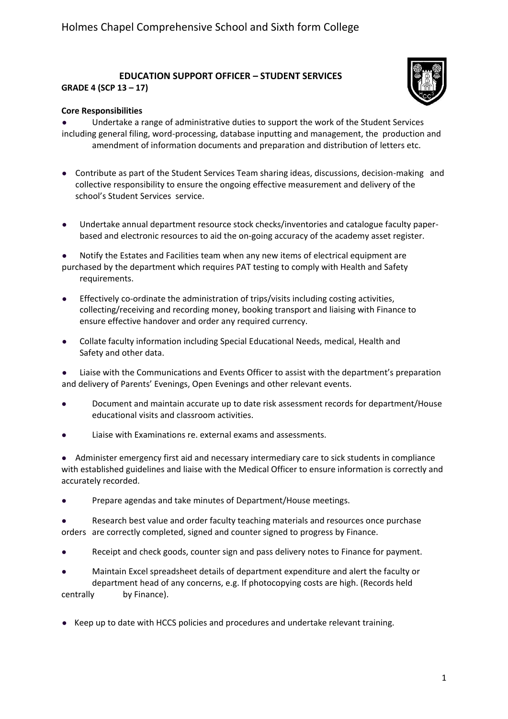## **EDUCATION SUPPORT OFFICER – STUDENT SERVICES**



## **GRADE 4 (SCP 13 – 17)**

## **Core Responsibilities**

**●** Undertake a range of administrative duties to support the work of the Student Services including general filing, word-processing, database inputting and management, the production and amendment of information documents and preparation and distribution of letters etc.

- **●** Contribute as part of the Student Services Team sharing ideas, discussions, decision-making and collective responsibility to ensure the ongoing effective measurement and delivery of the school's Student Services service.
- **●** Undertake annual department resource stock checks/inventories and catalogue faculty paperbased and electronic resources to aid the on-going accuracy of the academy asset register.
- **●** Notify the Estates and Facilities team when any new items of electrical equipment are purchased by the department which requires PAT testing to comply with Health and Safety requirements.
- **●** Effectively co-ordinate the administration of trips/visits including costing activities, collecting/receiving and recording money, booking transport and liaising with Finance to ensure effective handover and order any required currency.
- **●** Collate faculty information including Special Educational Needs, medical, Health and Safety and other data.

**●** Liaise with the Communications and Events Officer to assist with the department's preparation and delivery of Parents' Evenings, Open Evenings and other relevant events.

- **●** Document and maintain accurate up to date risk assessment records for department/House educational visits and classroom activities.
- **●** Liaise with Examinations re. external exams and assessments.

**●** Administer emergency first aid and necessary intermediary care to sick students in compliance with established guidelines and liaise with the Medical Officer to ensure information is correctly and accurately recorded.

**●** Prepare agendas and take minutes of Department/House meetings.

Research best value and order faculty teaching materials and resources once purchase orders are correctly completed, signed and counter signed to progress by Finance.

**●** Receipt and check goods, counter sign and pass delivery notes to Finance for payment.

**●** Maintain Excel spreadsheet details of department expenditure and alert the faculty or department head of any concerns, e.g. If photocopying costs are high. (Records held centrally by Finance).

**●** Keep up to date with HCCS policies and procedures and undertake relevant training.